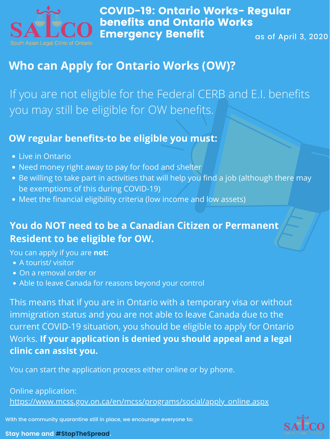

COVID-19: Ontario Works- Regular benefits and Ontario Works Emergency Benefit as of April 3, 2020

With the community quarantine still in place, we encourage everyone to:





## **Who can Apply for Ontario Works (OW)?**

If you are not eligible for the Federal CERB and E.I. benefits you may still be eligible for OW benefits.

## **OW regular benefits-to be eligible you must:**

- Live in Ontario
- Need money right away to pay for food and shelter
- Be willing to take part in activities that will help you find a job (although there may be exemptions of this during COVID-19)
- Meet the financial eligibility criteria (low income and low assets)

- A tourist/ visitor
- On a removal order or
- Able to leave Canada for reasons beyond your control

You can apply if you are **not:**

## **You do NOT need to be a Canadian Citizen or Permanent Resident to be eligible for OW.**

You can start the application process either online or by phone.

Online application: [https://www.mcss.gov.on.ca/en/mcss/programs/social/apply\\_online.aspx](https://www.mcss.gov.on.ca/en/mcss/programs/social/apply_online.aspx)

This means that if you are in Ontario with a temporary visa or without immigration status and you are not able to leave Canada due to the current COVID-19 situation, you should be eligible to apply for Ontario Works. **If your application is denied you should appeal and a legal clinic can assist you.**